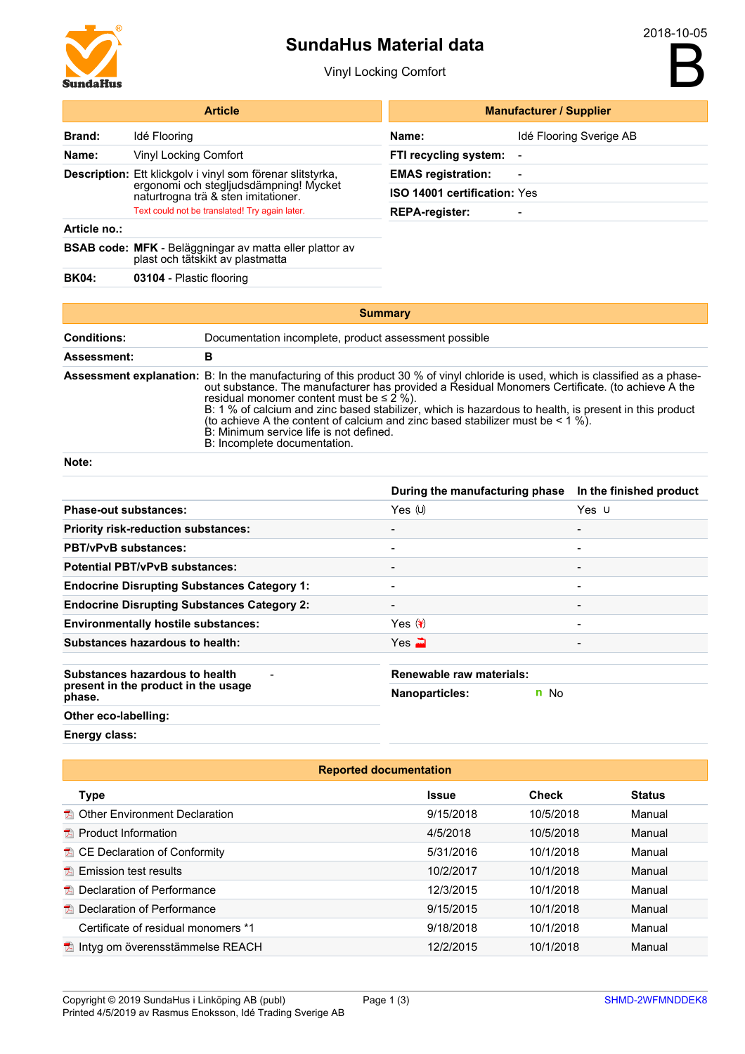

## SundaHus Material data

Vinyl Locking Comfort

B

| <b>Article</b>        |                                                                                                                                             |                                                                                                                                                                                                                                                                                                                                                                                                                                                                                                                                                                | <b>Manufacturer / Supplier</b> |                         |                         |  |
|-----------------------|---------------------------------------------------------------------------------------------------------------------------------------------|----------------------------------------------------------------------------------------------------------------------------------------------------------------------------------------------------------------------------------------------------------------------------------------------------------------------------------------------------------------------------------------------------------------------------------------------------------------------------------------------------------------------------------------------------------------|--------------------------------|-------------------------|-------------------------|--|
| <b>Brand:</b>         | Idé Flooring                                                                                                                                |                                                                                                                                                                                                                                                                                                                                                                                                                                                                                                                                                                | Name:                          | Idé Flooring Sverige AB |                         |  |
| Name:                 | <b>Vinyl Locking Comfort</b>                                                                                                                |                                                                                                                                                                                                                                                                                                                                                                                                                                                                                                                                                                | FTI recycling system:          |                         |                         |  |
|                       | Description: Ett klickgolv i vinyl som förenar slitstyrka,<br>ergonomi och stegljudsdämpning! Mycket<br>naturtrogna trä & sten imitationer. |                                                                                                                                                                                                                                                                                                                                                                                                                                                                                                                                                                | <b>EMAS</b> registration:      |                         |                         |  |
|                       |                                                                                                                                             |                                                                                                                                                                                                                                                                                                                                                                                                                                                                                                                                                                | ISO 14001 certification: Yes   |                         |                         |  |
|                       | Text could not be translated! Try again later.                                                                                              |                                                                                                                                                                                                                                                                                                                                                                                                                                                                                                                                                                | <b>REPA-register:</b>          |                         |                         |  |
| Article no.:          |                                                                                                                                             |                                                                                                                                                                                                                                                                                                                                                                                                                                                                                                                                                                |                                |                         |                         |  |
|                       | <b>BSAB code: MFK</b> - Beläggningar av matta eller plattor av<br>plast och tätskikt av plastmatta                                          |                                                                                                                                                                                                                                                                                                                                                                                                                                                                                                                                                                |                                |                         |                         |  |
| <b>BK04:</b>          | 03104 - Plastic flooring                                                                                                                    |                                                                                                                                                                                                                                                                                                                                                                                                                                                                                                                                                                |                                |                         |                         |  |
|                       |                                                                                                                                             |                                                                                                                                                                                                                                                                                                                                                                                                                                                                                                                                                                |                                |                         |                         |  |
|                       |                                                                                                                                             | <b>Summary</b>                                                                                                                                                                                                                                                                                                                                                                                                                                                                                                                                                 |                                |                         |                         |  |
| <b>Conditions:</b>    |                                                                                                                                             | Documentation incomplete, product assessment possible                                                                                                                                                                                                                                                                                                                                                                                                                                                                                                          |                                |                         |                         |  |
| Assessment:           |                                                                                                                                             | в                                                                                                                                                                                                                                                                                                                                                                                                                                                                                                                                                              |                                |                         |                         |  |
|                       |                                                                                                                                             | Assessment explanation: B: In the manufacturing of this product 30 % of vinyl chloride is used, which is classified as a phase-<br>out substance. The manufacturer has provided a Residual Monomers Certificate. (to achieve A the<br>residual monomer content must be $\leq 2$ %).<br>B: 1 % of calcium and zinc based stabilizer, which is hazardous to health, is present in this product<br>(to achieve A the content of calcium and zinc based stabilizer must be $\leq 1$ %).<br>B: Minimum service life is not defined.<br>B: Incomplete documentation. |                                |                         |                         |  |
| Note:                 |                                                                                                                                             |                                                                                                                                                                                                                                                                                                                                                                                                                                                                                                                                                                |                                |                         |                         |  |
|                       |                                                                                                                                             |                                                                                                                                                                                                                                                                                                                                                                                                                                                                                                                                                                | During the manufacturing phase |                         | In the finished product |  |
| Phase-out substances: |                                                                                                                                             |                                                                                                                                                                                                                                                                                                                                                                                                                                                                                                                                                                | Yes (U)                        |                         | Yes U                   |  |

| <b>Phase-out substances:</b>                       | Yes $(U)$                | Yes $\cup$               |  |
|----------------------------------------------------|--------------------------|--------------------------|--|
| <b>Priority risk-reduction substances:</b>         | $\overline{\phantom{a}}$ | $\overline{\phantom{0}}$ |  |
| <b>PBT/vPvB substances:</b>                        | $\overline{\phantom{0}}$ |                          |  |
| <b>Potential PBT/vPvB substances:</b>              |                          | $\overline{\phantom{0}}$ |  |
| <b>Endocrine Disrupting Substances Category 1:</b> |                          | $\overline{\phantom{0}}$ |  |
| <b>Endocrine Disrupting Substances Category 2:</b> |                          |                          |  |
| <b>Environmentally hostile substances:</b>         | Yes $\mathcal{F}$        | $\overline{\phantom{0}}$ |  |
| Substances hazardous to health:                    | Yes $\mathbf{w}$         |                          |  |
| Substances hazardous to health                     | Renewable raw materials: |                          |  |
| present in the product in the usage<br>phase.      | <b>Nanoparticles:</b>    | n No                     |  |
| Other eco-labelling:                               |                          |                          |  |
|                                                    |                          |                          |  |

Energy class:

| <b>Reported documentation</b>            |              |              |               |  |
|------------------------------------------|--------------|--------------|---------------|--|
| <b>Type</b>                              | <b>Issue</b> | <b>Check</b> | <b>Status</b> |  |
| <b>A</b> Other Environment Declaration   | 9/15/2018    | 10/5/2018    | Manual        |  |
| $\Box$ Product Information               | 4/5/2018     | 10/5/2018    | Manual        |  |
| <b>E</b> CE Declaration of Conformity    | 5/31/2016    | 10/1/2018    | Manual        |  |
| $\blacksquare$ Emission test results     | 10/2/2017    | 10/1/2018    | Manual        |  |
| <b>E</b> Declaration of Performance      | 12/3/2015    | 10/1/2018    | Manual        |  |
| <b>E</b> Declaration of Performance      | 9/15/2015    | 10/1/2018    | Manual        |  |
| Certificate of residual monomers *1      | 9/18/2018    | 10/1/2018    | Manual        |  |
| <b>■ Intyg om överensstämmelse REACH</b> | 12/2/2015    | 10/1/2018    | Manual        |  |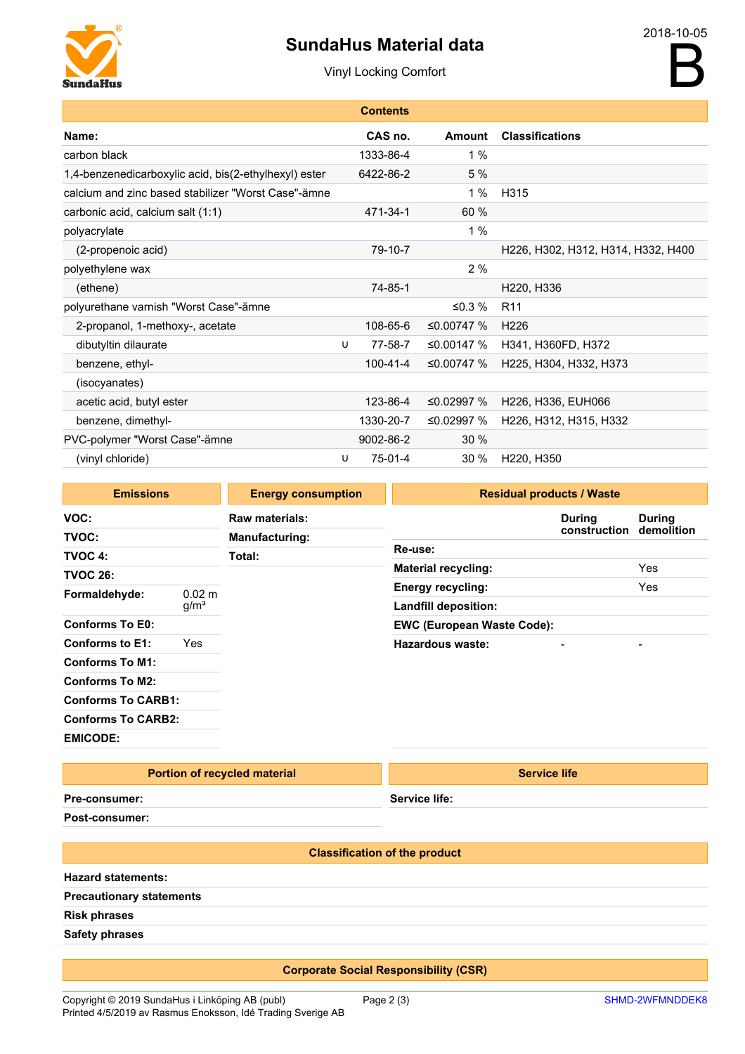# SundaHus Material data



|                                                       |   | <b>Contents</b> |              |                                    |
|-------------------------------------------------------|---|-----------------|--------------|------------------------------------|
| Name:                                                 |   | CAS no.         | Amount       | <b>Classifications</b>             |
| carbon black                                          |   | 1333-86-4       | 1%           |                                    |
| 1,4-benzenedicarboxylic acid, bis(2-ethylhexyl) ester |   | 6422-86-2       | 5 %          |                                    |
| calcium and zinc based stabilizer "Worst Case"-ämne   |   |                 | 1%           | H <sub>315</sub>                   |
| carbonic acid, calcium salt (1:1)                     |   | 471-34-1        | 60 %         |                                    |
| polyacrylate                                          |   |                 | 1%           |                                    |
| (2-propenoic acid)                                    |   | 79-10-7         |              | H226, H302, H312, H314, H332, H400 |
| polyethylene wax                                      |   |                 | 2%           |                                    |
| (ethene)                                              |   | 74-85-1         |              | H220, H336                         |
| polyurethane varnish "Worst Case"-ämne                |   |                 | ≤0.3 $%$     | R <sub>11</sub>                    |
| 2-propanol, 1-methoxy-, acetate                       |   | 108-65-6        | ≤0.00747 %   | H <sub>226</sub>                   |
| dibutyltin dilaurate                                  | U | 77-58-7         | ≤0.00147 %   | H341, H360FD, H372                 |
| benzene, ethyl-                                       |   | $100 - 41 - 4$  | ≤0.00747 $%$ | H225, H304, H332, H373             |
| (isocyanates)                                         |   |                 |              |                                    |
| acetic acid, butyl ester                              |   | 123-86-4        | ≤0.02997 $%$ | H226, H336, EUH066                 |
| benzene, dimethyl-                                    |   | 1330-20-7       | ≤0.02997 %   | H226, H312, H315, H332             |
| PVC-polymer "Worst Case"-ämne                         |   | 9002-86-2       | 30 %         |                                    |
| (vinyl chloride)                                      | U | 75-01-4         | 30 %         | H220, H350                         |
|                                                       |   |                 |              |                                    |

| <b>Emissions</b>          |                  | <b>Energy consumption</b> | <b>Residual products / Waste</b>  |               |               |  |
|---------------------------|------------------|---------------------------|-----------------------------------|---------------|---------------|--|
| VOC:                      |                  | Raw materials:            |                                   | <b>During</b> | <b>During</b> |  |
| TVOC:                     |                  | <b>Manufacturing:</b>     |                                   | construction  | demolition    |  |
| TVOC 4:                   |                  | Total:                    | <b>Re-use:</b>                    |               |               |  |
| <b>TVOC 26:</b>           |                  |                           | <b>Material recycling:</b>        |               | Yes           |  |
|                           | $0.02 \; m$      |                           | <b>Energy recycling:</b>          |               | Yes           |  |
| Formaldehyde:             | g/m <sup>3</sup> |                           | Landfill deposition:              |               |               |  |
| <b>Conforms To E0:</b>    |                  |                           | <b>EWC (European Waste Code):</b> |               |               |  |
| Conforms to E1:           | Yes              |                           | <b>Hazardous waste:</b>           |               |               |  |
| <b>Conforms To M1:</b>    |                  |                           |                                   |               |               |  |
| <b>Conforms To M2:</b>    |                  |                           |                                   |               |               |  |
| <b>Conforms To CARB1:</b> |                  |                           |                                   |               |               |  |
| <b>Conforms To CARB2:</b> |                  |                           |                                   |               |               |  |
| <b>EMICODE:</b>           |                  |                           |                                   |               |               |  |

### Portion of recycled material

Service life:

Service life

Pre-consumer:

Post-consumer:

#### Classification of the product

Hazard statements: Precautionary statements

Risk phrases

Safety phrases

### Corporate Social Responsibility (CSR)